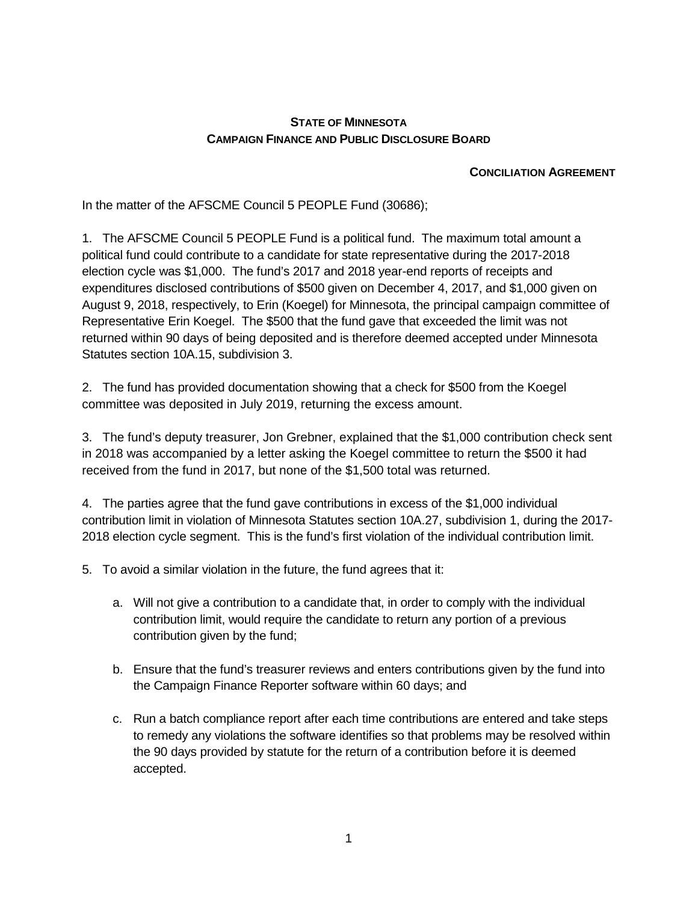## **STATE OF MINNESOTA CAMPAIGN FINANCE AND PUBLIC DISCLOSURE BOARD**

## **CONCILIATION AGREEMENT**

In the matter of the AFSCME Council 5 PEOPLE Fund (30686);

1. The AFSCME Council 5 PEOPLE Fund is a political fund. The maximum total amount a political fund could contribute to a candidate for state representative during the 2017-2018 election cycle was \$1,000. The fund's 2017 and 2018 year-end reports of receipts and expenditures disclosed contributions of \$500 given on December 4, 2017, and \$1,000 given on August 9, 2018, respectively, to Erin (Koegel) for Minnesota, the principal campaign committee of Representative Erin Koegel. The \$500 that the fund gave that exceeded the limit was not returned within 90 days of being deposited and is therefore deemed accepted under Minnesota Statutes section 10A.15, subdivision 3.

2. The fund has provided documentation showing that a check for \$500 from the Koegel committee was deposited in July 2019, returning the excess amount.

3. The fund's deputy treasurer, Jon Grebner, explained that the \$1,000 contribution check sent in 2018 was accompanied by a letter asking the Koegel committee to return the \$500 it had received from the fund in 2017, but none of the \$1,500 total was returned.

4. The parties agree that the fund gave contributions in excess of the \$1,000 individual contribution limit in violation of Minnesota Statutes section 10A.27, subdivision 1, during the 2017- 2018 election cycle segment. This is the fund's first violation of the individual contribution limit.

- 5. To avoid a similar violation in the future, the fund agrees that it:
	- a. Will not give a contribution to a candidate that, in order to comply with the individual contribution limit, would require the candidate to return any portion of a previous contribution given by the fund;
	- b. Ensure that the fund's treasurer reviews and enters contributions given by the fund into the Campaign Finance Reporter software within 60 days; and
	- c. Run a batch compliance report after each time contributions are entered and take steps to remedy any violations the software identifies so that problems may be resolved within the 90 days provided by statute for the return of a contribution before it is deemed accepted.